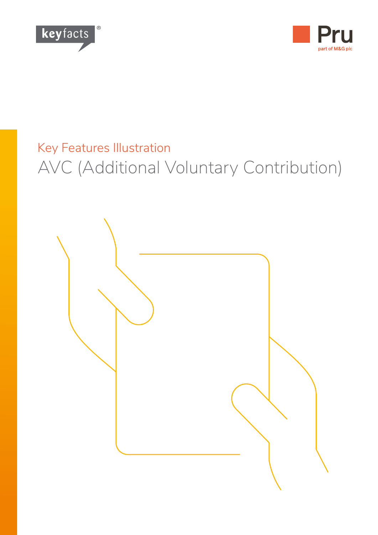



# Key Features Illustration AVC (Additional Voluntary Contribution)

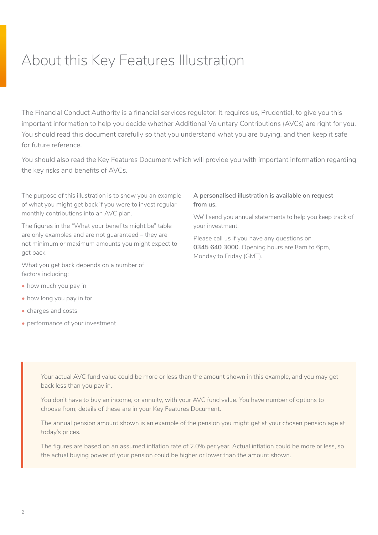## About this Key Features Illustration

The Financial Conduct Authority is a financial services regulator. It requires us, Prudential, to give you this important information to help you decide whether Additional Voluntary Contributions (AVCs) are right for you. You should read this document carefully so that you understand what you are buying, and then keep it safe for future reference.

You should also read the Key Features Document which will provide you with important information regarding the key risks and benefits of AVCs.

The purpose of this illustration is to show you an example of what you might get back if you were to invest regular monthly contributions into an AVC plan.

The figures in the "What your benefits might be" table are only examples and are not guaranteed – they are not minimum or maximum amounts you might expect to get back.

What you get back depends on a number of factors including:

- how much you pay in
- how long you pay in for
- charges and costs
- performance of your investment

#### **A personalised illustration is available on request from us.**

We'll send you annual statements to help you keep track of your investment.

Please call us if you have any questions on **0345 640 3000**. Opening hours are 8am to 6pm, Monday to Friday (GMT).

Your actual AVC fund value could be more or less than the amount shown in this example, and you may get back less than you pay in.

You don't have to buy an income, or annuity, with your AVC fund value. You have number of options to choose from; details of these are in your Key Features Document.

The annual pension amount shown is an example of the pension you might get at your chosen pension age at today's prices.

The figures are based on an assumed inflation rate of 2.0% per year. Actual inflation could be more or less, so the actual buying power of your pension could be higher or lower than the amount shown.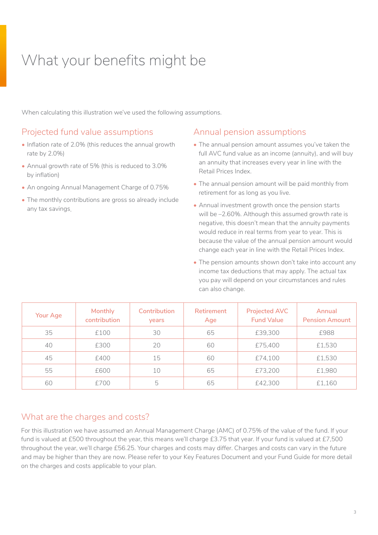## What your benefits might be

When calculating this illustration we've used the following assumptions.

#### Projected fund value assumptions

- Inflation rate of 2.0% (this reduces the annual growth rate by 2.0%)
- Annual growth rate of 5% (this is reduced to 3.0% by inflation)
- An ongoing Annual Management Charge of 0.75%
- The monthly contributions are gross so already include any tax savings.

#### Annual pension assumptions

- The annual pension amount assumes you've taken the full AVC fund value as an income (annuity), and will buy an annuity that increases every year in line with the Retail Prices Index.
- The annual pension amount will be paid monthly from retirement for as long as you live.
- Annual investment growth once the pension starts will be –2.60%. Although this assumed growth rate is negative, this doesn't mean that the annuity payments would reduce in real terms from year to year. This is because the value of the annual pension amount would change each year in line with the Retail Prices Index.
- The pension amounts shown don't take into account any income tax deductions that may apply. The actual tax you pay will depend on your circumstances and rules can also change.

| Your Age | <b>Monthly</b><br>contribution | Contribution<br><b>vears</b> | <b>Retirement</b><br>Age | <b>Projected AVC</b><br><b>Fund Value</b> | Annual<br><b>Pension Amount</b> |
|----------|--------------------------------|------------------------------|--------------------------|-------------------------------------------|---------------------------------|
| 35       | £100                           | 30                           | 65                       | £39,300                                   | £988                            |
| 40       | £300                           | 20                           | 60                       | £75,400                                   | £1,530                          |
| 45       | £400                           | 15                           | 60                       | £74.100                                   | £1,530                          |
| 55       | £600                           | 10                           | 65                       | £73,200                                   | £1,980                          |
| 60       | £700                           | 5                            | 65                       | £42,300                                   | £1,160                          |

### What are the charges and costs?

For this illustration we have assumed an Annual Management Charge (AMC) of 0.75% of the value of the fund. If your fund is valued at £500 throughout the year, this means we'll charge £3.75 that year. If your fund is valued at £7,500 throughout the year, we'll charge £56.25. Your charges and costs may differ. Charges and costs can vary in the future and may be higher than they are now. Please refer to your Key Features Document and your Fund Guide for more detail on the charges and costs applicable to your plan.